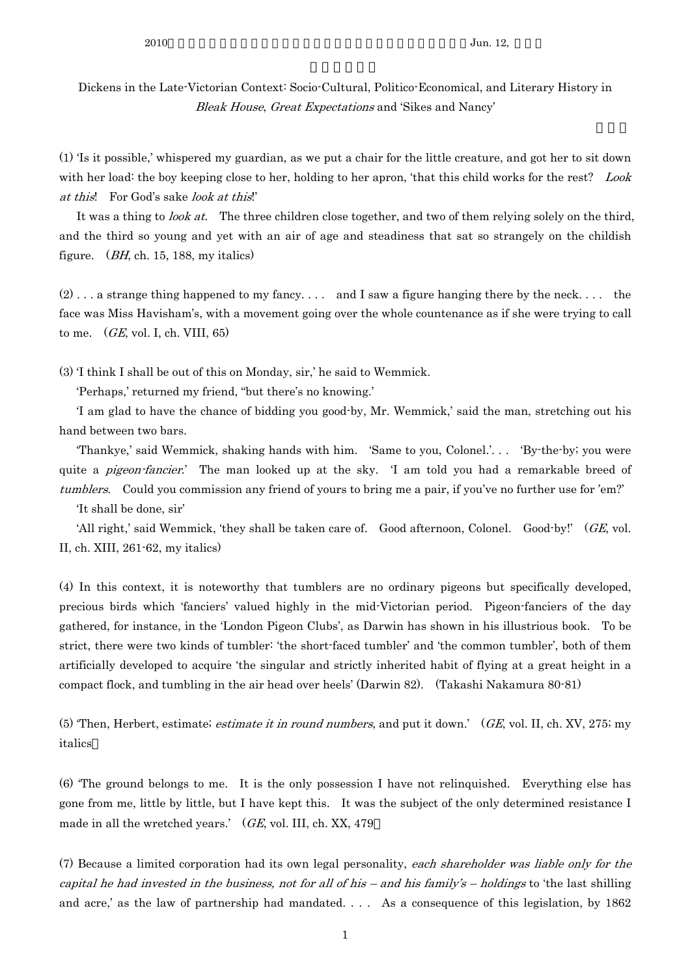Dickens in the Late-Victorian Context: Socio-Cultural, Politico-Economical, and Literary History in Bleak House, Great Expectations and 'Sikes and Nancy'

(1) 'Is it possible,' whispered my guardian, as we put a chair for the little creature, and got her to sit down with her load: the boy keeping close to her, holding to her apron, 'that this child works for the rest? Look at this! For God's sake look at this!'

It was a thing to *look at*. The three children close together, and two of them relying solely on the third, and the third so young and yet with an air of age and steadiness that sat so strangely on the childish figure.  $(BH, ch. 15, 188, \text{my italics})$ 

 $(2)$ ... a strange thing happened to my fancy.... and I saw a figure hanging there by the neck.... the face was Miss Havisham's, with a movement going over the whole countenance as if she were trying to call to me.  $(GE, vol. I, ch. VIII, 65)$ 

(3) 'I think I shall be out of this on Monday, sir,' he said to Wemmick.

'Perhaps,' returned my friend, "but there's no knowing.'

 'I am glad to have the chance of bidding you good-by, Mr. Wemmick,' said the man, stretching out his hand between two bars.

 'Thankye,' said Wemmick, shaking hands with him. 'Same to you, Colonel.'. . . 'By-the-by; you were quite a *pigeon-fancier*.' The man looked up at the sky. 'I am told you had a remarkable breed of tumblers. Could you commission any friend of yours to bring me a pair, if you've no further use for 'em?'

'It shall be done, sir'

'All right,' said Wemmick, 'they shall be taken care of. Good afternoon, Colonel. Good-by!' (GE, vol. II, ch. XIII, 261-62, my italics)

(4) In this context, it is noteworthy that tumblers are no ordinary pigeons but specifically developed, precious birds which 'fanciers' valued highly in the mid-Victorian period. Pigeon-fanciers of the day gathered, for instance, in the 'London Pigeon Clubs', as Darwin has shown in his illustrious book. To be strict, there were two kinds of tumbler: 'the short-faced tumbler' and 'the common tumbler', both of them artificially developed to acquire 'the singular and strictly inherited habit of flying at a great height in a compact flock, and tumbling in the air head over heels' (Darwin 82). (Takashi Nakamura 80-81)

(5) 'Then, Herbert, estimate; estimate it in round numbers, and put it down.'  $(GE, vol. II, ch. XV, 275; my)$ italics

(6) 'The ground belongs to me. It is the only possession I have not relinquished. Everything else has gone from me, little by little, but I have kept this. It was the subject of the only determined resistance I made in all the wretched years.'  $(GE, vol, III, ch, XX, 479)$ 

(7) Because a limited corporation had its own legal personality, each shareholder was liable only for the capital he had invested in the business, not for all of his – and his family's – holdings to 'the last shilling and acre,' as the law of partnership had mandated. . . . As a consequence of this legislation, by 1862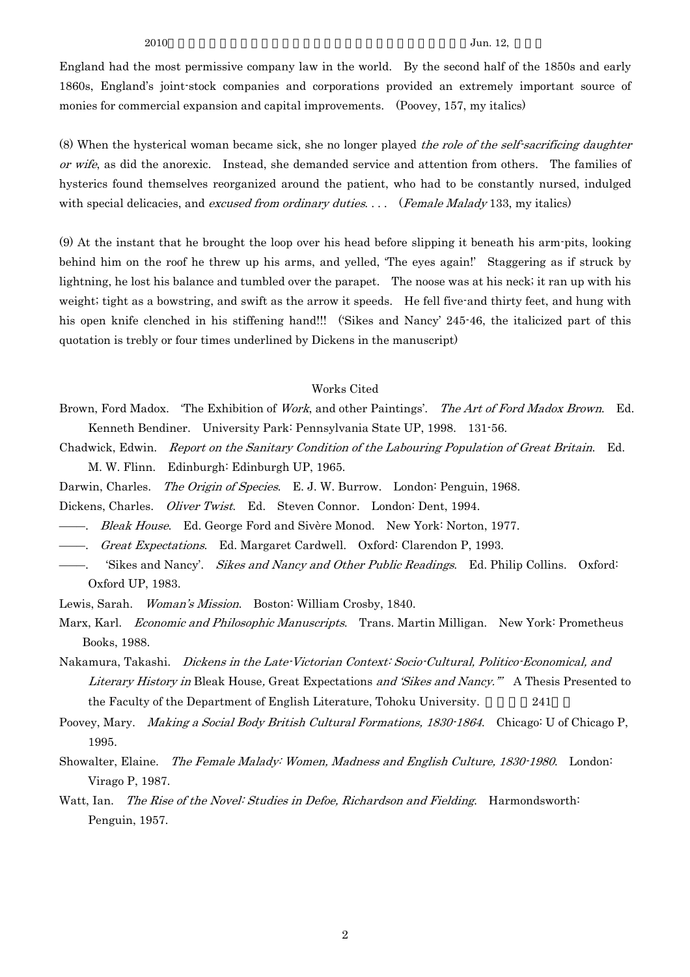$2010$  Jun. 12,

England had the most permissive company law in the world. By the second half of the 1850s and early 1860s, England's joint-stock companies and corporations provided an extremely important source of monies for commercial expansion and capital improvements. (Poovey, 157, my italics)

(8) When the hysterical woman became sick, she no longer played the role of the self-sacrificing daughter or wife, as did the anorexic. Instead, she demanded service and attention from others. The families of hysterics found themselves reorganized around the patient, who had to be constantly nursed, indulged with special delicacies, and excused from ordinary duties.... (Female Malady 133, my italics)

(9) At the instant that he brought the loop over his head before slipping it beneath his arm-pits, looking behind him on the roof he threw up his arms, and yelled, 'The eyes again!' Staggering as if struck by lightning, he lost his balance and tumbled over the parapet. The noose was at his neck; it ran up with his weight; tight as a bowstring, and swift as the arrow it speeds. He fell five-and thirty feet, and hung with his open knife clenched in his stiffening hand!!! ('Sikes and Nancy' 245-46, the italicized part of this quotation is trebly or four times underlined by Dickens in the manuscript)

## Works Cited

Brown, Ford Madox. 'The Exhibition of *Work*, and other Paintings'. The Art of Ford Madox Brown. Ed. Kenneth Bendiner. University Park: Pennsylvania State UP, 1998. 131-56.

Chadwick, Edwin. Report on the Sanitary Condition of the Labouring Population of Great Britain. Ed. M. W. Flinn. Edinburgh: Edinburgh UP, 1965.

Darwin, Charles. The Origin of Species. E. J. W. Burrow. London: Penguin, 1968.

Dickens, Charles. Oliver Twist. Ed. Steven Connor. London: Dent, 1994.

- -----. *Bleak House.* Ed. George Ford and Sivère Monod. New York: Norton, 1977.
- ―――. Great Expectations. Ed. Margaret Cardwell. Oxford: Clarendon P, 1993.
- 'Sikes and Nancy'. Sikes and Nancy and Other Public Readings. Ed. Philip Collins. Oxford: Oxford UP, 1983.

Lewis, Sarah. Woman's Mission. Boston: William Crosby, 1840.

- Marx, Karl. Economic and Philosophic Manuscripts. Trans. Martin Milligan. New York: Prometheus Books, 1988.
- Nakamura, Takashi. Dickens in the Late-Victorian Context: Socio-Cultural, Politico-Economical, and Literary History in Bleak House, Great Expectations and 'Sikes and Nancy."" A Thesis Presented to the Faculty of the Department of English Literature, Tohoku University. 241

Poovey, Mary. *Making a Social Body British Cultural Formations, 1830-1864*. Chicago: U of Chicago P, 1995.

Showalter, Elaine. The Female Malady: Women, Madness and English Culture, 1830-1980. London: Virago P, 1987.

Watt, Ian. The Rise of the Novel: Studies in Defoe, Richardson and Fielding. Harmondsworth: Penguin, 1957.